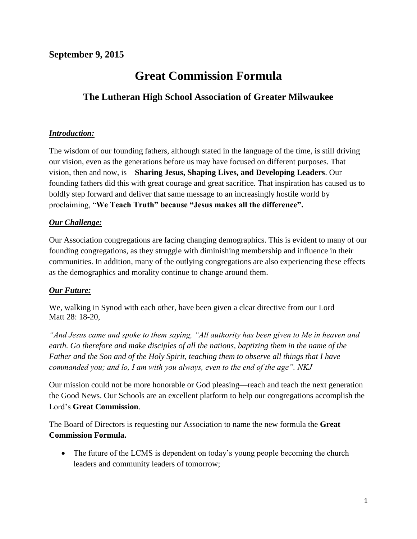### **September 9, 2015**

# **Great Commission Formula**

## **The Lutheran High School Association of Greater Milwaukee**

#### *Introduction:*

The wisdom of our founding fathers, although stated in the language of the time, is still driving our vision, even as the generations before us may have focused on different purposes. That vision, then and now, is—**Sharing Jesus, Shaping Lives, and Developing Leaders**. Our founding fathers did this with great courage and great sacrifice. That inspiration has caused us to boldly step forward and deliver that same message to an increasingly hostile world by proclaiming, "**We Teach Truth" because "Jesus makes all the difference".**

#### *Our Challenge:*

Our Association congregations are facing changing demographics. This is evident to many of our founding congregations, as they struggle with diminishing membership and influence in their communities. In addition, many of the outlying congregations are also experiencing these effects as the demographics and morality continue to change around them.

#### *Our Future:*

We, walking in Synod with each other, have been given a clear directive from our Lord— Matt 28: 18-20,

*"And Jesus came and spoke to them saying, "All authority has been given to Me in heaven and earth. Go therefore and make disciples of all the nations, baptizing them in the name of the Father and the Son and of the Holy Spirit, teaching them to observe all things that I have commanded you; and lo, I am with you always, even to the end of the age". NKJ*

Our mission could not be more honorable or God pleasing—reach and teach the next generation the Good News. Our Schools are an excellent platform to help our congregations accomplish the Lord's **Great Commission**.

The Board of Directors is requesting our Association to name the new formula the **Great Commission Formula.**

• The future of the LCMS is dependent on today's young people becoming the church leaders and community leaders of tomorrow;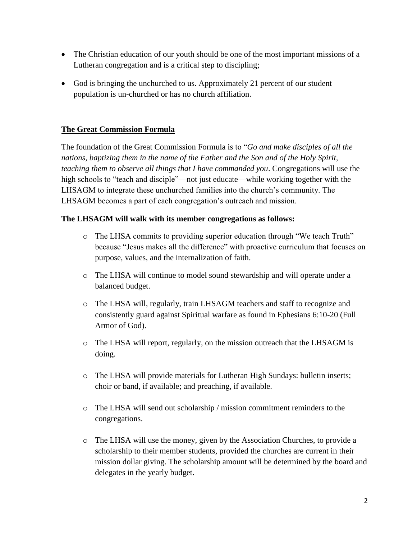- The Christian education of our youth should be one of the most important missions of a Lutheran congregation and is a critical step to discipling;
- God is bringing the unchurched to us. Approximately 21 percent of our student population is un-churched or has no church affiliation.

#### **The Great Commission Formula**

The foundation of the Great Commission Formula is to "*Go and make disciples of all the nations, baptizing them in the name of the Father and the Son and of the Holy Spirit, teaching them to observe all things that I have commanded you*. Congregations will use the high schools to "teach and disciple"—not just educate—while working together with the LHSAGM to integrate these unchurched families into the church's community. The LHSAGM becomes a part of each congregation's outreach and mission.

#### **The LHSAGM will walk with its member congregations as follows:**

- o The LHSA commits to providing superior education through "We teach Truth" because "Jesus makes all the difference" with proactive curriculum that focuses on purpose, values, and the internalization of faith.
- o The LHSA will continue to model sound stewardship and will operate under a balanced budget.
- o The LHSA will, regularly, train LHSAGM teachers and staff to recognize and consistently guard against Spiritual warfare as found in Ephesians 6:10-20 (Full Armor of God).
- o The LHSA will report, regularly, on the mission outreach that the LHSAGM is doing.
- o The LHSA will provide materials for Lutheran High Sundays: bulletin inserts; choir or band, if available; and preaching, if available.
- o The LHSA will send out scholarship / mission commitment reminders to the congregations.
- o The LHSA will use the money, given by the Association Churches, to provide a scholarship to their member students, provided the churches are current in their mission dollar giving. The scholarship amount will be determined by the board and delegates in the yearly budget.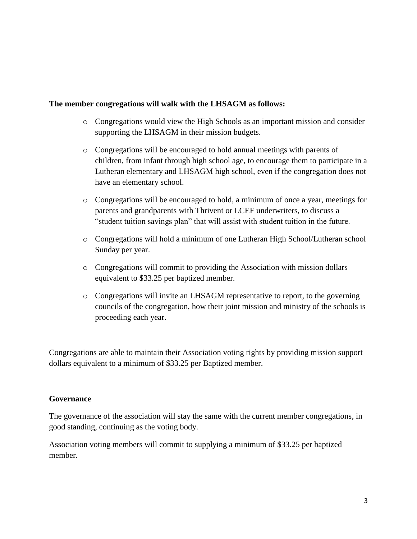#### **The member congregations will walk with the LHSAGM as follows:**

- o Congregations would view the High Schools as an important mission and consider supporting the LHSAGM in their mission budgets.
- o Congregations will be encouraged to hold annual meetings with parents of children, from infant through high school age, to encourage them to participate in a Lutheran elementary and LHSAGM high school, even if the congregation does not have an elementary school.
- o Congregations will be encouraged to hold, a minimum of once a year, meetings for parents and grandparents with Thrivent or LCEF underwriters, to discuss a "student tuition savings plan" that will assist with student tuition in the future.
- o Congregations will hold a minimum of one Lutheran High School/Lutheran school Sunday per year.
- o Congregations will commit to providing the Association with mission dollars equivalent to \$33.25 per baptized member.
- o Congregations will invite an LHSAGM representative to report, to the governing councils of the congregation, how their joint mission and ministry of the schools is proceeding each year.

Congregations are able to maintain their Association voting rights by providing mission support dollars equivalent to a minimum of \$33.25 per Baptized member.

#### **Governance**

The governance of the association will stay the same with the current member congregations, in good standing, continuing as the voting body.

Association voting members will commit to supplying a minimum of \$33.25 per baptized member.